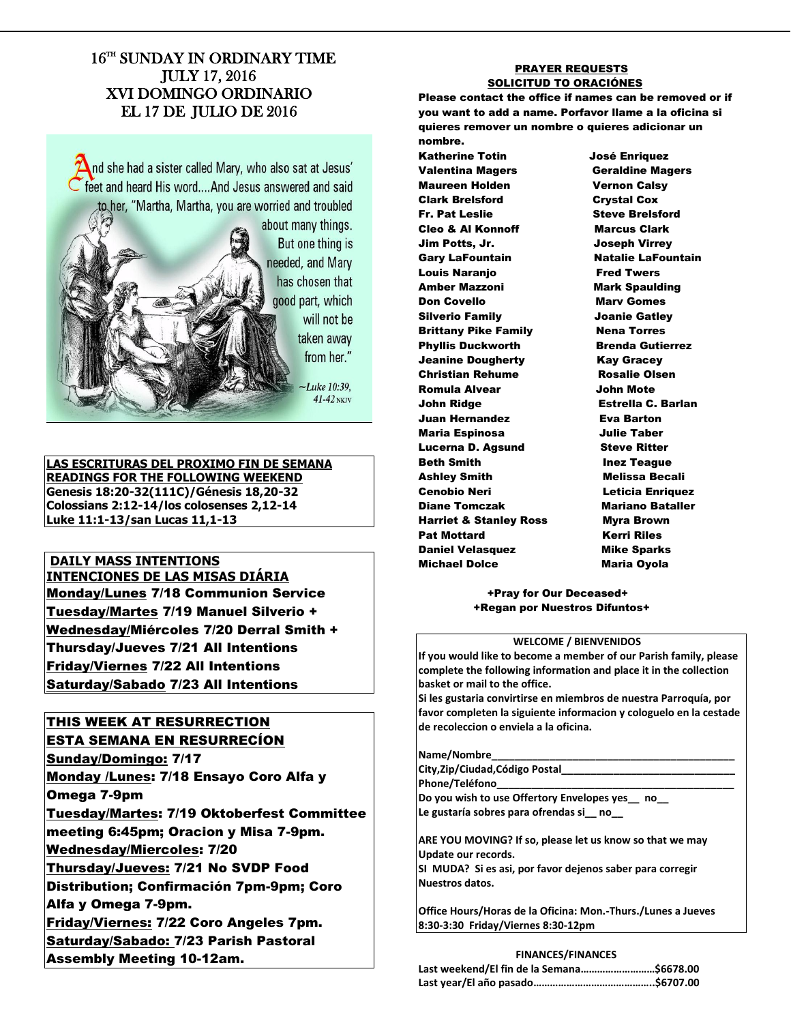## 16TH SUNDAY IN ORDINARY TIME JULY 17, 2016 XVI DOMINGO ORDINARIO EL 17 DE JULIO DE 2016

 $\Delta$ nd she had a sister called Mary, who also sat at Jesus' feet and heard His word....And Jesus answered and said to her, "Martha, Martha, you are worried and troubled



will not be taken away from her."

 $41-42$  NKJV

**LAS ESCRITURAS DEL PROXIMO FIN DE SEMANA READINGS FOR THE FOLLOWING WEEKEND Genesis 18:20-32(111C)/Génesis 18,20-32 Colossians 2:12-14/los colosenses 2,12-14 Luke 11:1-13/san Lucas 11,1-13** 

## **DAILY MASS INTENTIONS INTENCIONES DE LAS MISAS DIÁRIA** **Monday/Lunes 7/18 Communion Service** Tuesday/Martes 7/19 Manuel Silverio + Wednesday/Miércoles 7/20 Derral Smith + Thursday/Jueves 7/21 All Intentions Friday/Viernes 7/22 All Intentions Saturday/Sabado 7/23 All Intentions

# THIS WEEK AT RESURRECTION

ESTA SEMANA EN RESURRECÍON Sunday/Domingo: 7/17 Monday /Lunes: 7/18 Ensayo Coro Alfa y Omega 7-9pm Tuesday/Martes: 7/19 Oktoberfest Committee meeting 6:45pm; Oracion y Misa 7-9pm. Wednesday/Miercoles: 7/20 Thursday/Jueves: 7/21 No SVDP Food Distribution; Confirmación 7pm-9pm; Coro Alfa y Omega 7-9pm. Friday/Viernes: 7/22 Coro Angeles 7pm. Saturday/Sabado: 7/23 Parish Pastoral Assembly Meeting 10-12am.

#### PRAYER REQUESTS SOLICITUD TO ORACIÓNES

Please contact the office if names can be removed or if you want to add a name. Porfavor llame a la oficina si quieres remover un nombre o quieres adicionar un nombre.

Katherine Totin José Enriquez Valentina Magers Geraldine Magers Maureen Holden Vernon Calsy Clark Brelsford Crystal Cox Fr. Pat Leslie Steve Brelsford Cleo & Al Konnoff Marcus Clark Jim Potts, Jr. Joseph Virrey Gary LaFountain **Natalie LaFountain** Louis Naranjo **Fred Twers** Amber Mazzoni Mark Spaulding **Don Covello Mary Gomes** Silverio Family Joanie Gatley **Brittany Pike Family Nena Torres** Phyllis Duckworth Brenda Gutierrez Jeanine Dougherty **Kay Gracey** Christian Rehume Rosalie Olsen Romula Alvear John Mote John Ridge Estrella C. Barlan Juan Hernandez **Eva Barton** Maria Espinosa Julie Taber Lucerna D. Agsund Steve Ritter Beth Smith **Inex Teague** Ashley Smith Melissa Becali Cenobio Neri **Leticia Enriquez** Diane Tomczak Mariano Bataller Harriet & Stanley Ross Myra Brown Pat Mottard **Kerri Riles** Daniel Velasquez **Mike Sparks** Michael Dolce Maria Oyola

#### +Pray for Our Deceased+ +Regan por Nuestros Difuntos+

#### **WELCOME / BIENVENIDOS**

**If you would like to become a member of our Parish family, please complete the following information and place it in the collection basket or mail to the office.**

**Si les gustaria convirtirse en miembros de nuestra Parroquía, por favor completen la siguiente informacion y cologuelo en la cestade de recoleccion o enviela a la oficina.**

#### **Name/Nombre\_\_\_\_\_\_\_\_\_\_\_\_\_\_\_\_\_\_\_\_\_\_\_\_\_\_\_\_\_\_\_\_\_\_\_\_\_\_\_\_\_\_**

**City,Zip/Ciudad,Código Postal\_\_\_\_\_\_\_\_\_\_\_\_\_\_\_\_\_\_\_\_\_\_\_\_\_\_\_\_\_\_**

**Phone/Teléfono\_\_\_\_\_\_\_\_\_\_\_\_\_\_\_\_\_\_\_\_\_\_\_\_\_\_\_\_\_\_\_\_\_\_\_\_\_\_\_\_\_**

**Do you wish to use Offertory Envelopes yes\_\_ no\_\_ Le gustaría sobres para ofrendas si\_\_ no\_\_**

**ARE YOU MOVING? If so, please let us know so that we may Update our records. SI MUDA? Si es asi, por favor dejenos saber para corregir Nuestros datos.**

**Office Hours/Horas de la Oficina: Mon.-Thurs./Lunes a Jueves 8:30-3:30 Friday/Viernes 8:30-12pm**

#### **FINANCES/FINANCES**

| Last weekend/El fin de la Semana\$6678.00 |  |
|-------------------------------------------|--|
|                                           |  |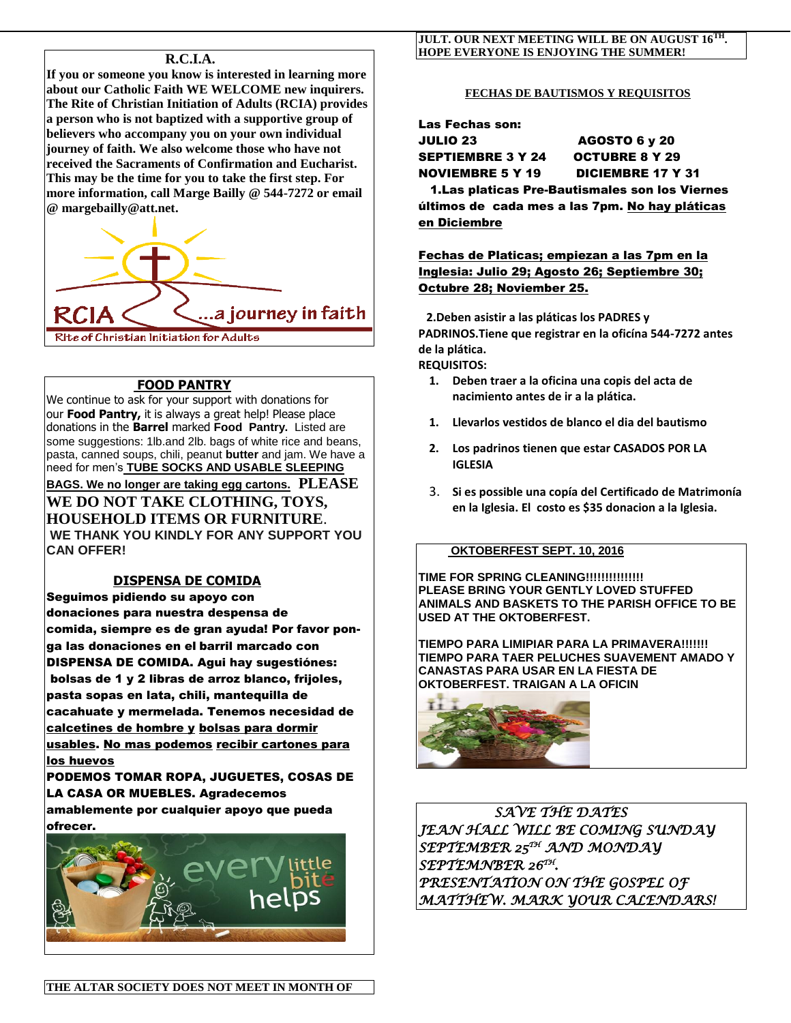## **R.C.I.A.**

**If you or someone you know is interested in learning more about our Catholic Faith WE WELCOME new inquirers. The Rite of Christian Initiation of Adults (RCIA) provides a person who is not baptized with a supportive group of believers who accompany you on your own individual journey of faith. We also welcome those who have not received the Sacraments of Confirmation and Eucharist. This may be the time for you to take the first step. For more information, call Marge Bailly @ 544-7272 or email @ [margebailly@att.net.](mailto:margebailly@att.net)** 

a journey in faith... Rite of Christian Initiation for Adults

## **FOOD PANTRY**

We continue to ask for your support with donations for our **Food Pantry,** it is always a great help! Please place donations in the **Barrel** marked **Food Pantry.** Listed are some suggestions: 1lb.and 2lb. bags of white rice and beans, pasta, canned soups, chili, peanut **butter** and jam. We have a need for men's **TUBE SOCKS AND USABLE SLEEPING BAGS. We no longer are taking egg cartons. PLEASE WE DO NOT TAKE CLOTHING, TOYS, HOUSEHOLD ITEMS OR FURNITURE**.

**WE THANK YOU KINDLY FOR ANY SUPPORT YOU CAN OFFER!**

## **DISPENSA DE COMIDA**

Seguimos pidiendo su apoyo con donaciones para nuestra despensa de comida, siempre es de gran ayuda! Por favor ponga las donaciones en el barril marcado con DISPENSA DE COMIDA. Agui hay sugestiónes: bolsas de 1 y 2 libras de arroz blanco, frijoles, pasta sopas en lata, chili, mantequilla de cacahuate y mermelada. Tenemos necesidad de calcetines de hombre y bolsas para dormir usables. No mas podemos recibir cartones para los huevos

PODEMOS TOMAR ROPA, JUGUETES, COSAS DE LA CASA OR MUEBLES. Agradecemos amablemente por cualquier apoyo que pueda ofrecer.



#### **JULT. OUR NEXT MEETING WILL BE ON AUGUST 16TH . HOPE EVERYONE IS ENJOYING THE SUMMER!**

#### **FECHAS DE BAUTISMOS Y REQUISITOS**

Las Fechas son: JULIO 23 AGOSTO 6 y 20 SEPTIEMBRE 3 Y 24 OCTUBRE 8 Y 29 NOVIEMBRE 5 Y 19 DICIEMBRE 17 Y 31 1.Las platicas Pre-Bautismales son los Viernes últimos de cada mes a las 7pm. No hay pláticas en Diciembre

Fechas de Platicas; empiezan a las 7pm en la Inglesia: Julio 29; Agosto 26; Septiembre 30; Octubre 28; Noviember 25.

 **2.Deben asistir a las pláticas los PADRES y PADRINOS.Tiene que registrar en la oficína 544-7272 antes de la plática.** 

**REQUISITOS:**

- **1. Deben traer a la oficina una copis del acta de nacimiento antes de ir a la plática.**
- **1. Llevarlos vestidos de blanco el dia del bautismo**
- **2. Los padrinos tienen que estar CASADOS POR LA IGLESIA**
- 3. **Si es possible una copía del Certificado de Matrimonía en la Iglesia. El costo es \$35 donacion a la Iglesia.**

### **OKTOBERFEST SEPT. 10, 2016**

**TIME FOR SPRING CLEANING!!!!!!!!!!!!!!! PLEASE BRING YOUR GENTLY LOVED STUFFED ANIMALS AND BASKETS TO THE PARISH OFFICE TO BE USED AT THE OKTOBERFEST.**

**TIEMPO PARA LIMIPIAR PARA LA PRIMAVERA!!!!!!! TIEMPO PARA TAER PELUCHES SUAVEMENT AMADO Y CANASTAS PARA USAR EN LA FIESTA DE OKTOBERFEST. TRAIGAN A LA OFICIN** 



 *SAVE THE DATES JEAN HALL WILL BE COMING SUNDAY SEPTEMBER 25TH AND MONDAY SEPTEMNBER 26TH . PRESENTATION ON THE GOSPEL OF MATTHEW. MARK YOUR CALENDARS!*